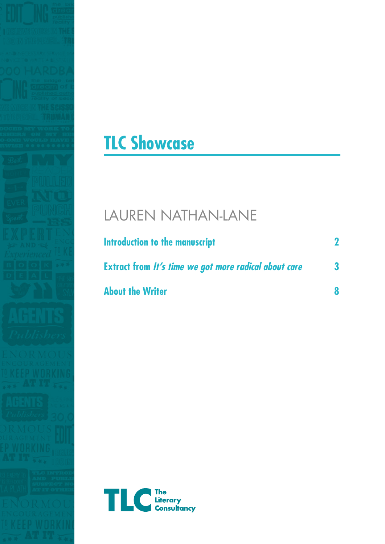



## LAUREN NATHAN-LANE

| Introduction to the manuscript<br><b>Extract from It's time we got more radical about care</b><br><b>About the Writer</b> |   |
|---------------------------------------------------------------------------------------------------------------------------|---|
|                                                                                                                           | 3 |

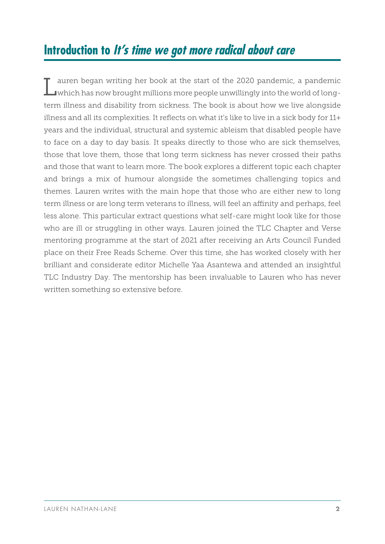## **Introduction to It's time we got more radical about care**

Lauren began writing her book at the start of the 2020 pandemic, a pandemic which has now brought millions more people unwillingly into the world of longterm illness and disability from sickness. The book is about how we live alongside illness and all its complexities. It reflects on what it's like to live in a sick body for 11+ years and the individual, structural and systemic ableism that disabled people have to face on a day to day basis. It speaks directly to those who are sick themselves, those that love them, those that long term sickness has never crossed their paths and those that want to learn more. The book explores a different topic each chapter and brings a mix of humour alongside the sometimes challenging topics and themes. Lauren writes with the main hope that those who are either new to long term illness or are long term veterans to illness, will feel an affinity and perhaps, feel less alone. This particular extract questions what self-care might look like for those who are ill or struggling in other ways. Lauren joined the TLC Chapter and Verse mentoring programme at the start of 2021 after receiving an Arts Council Funded place on their Free Reads Scheme. Over this time, she has worked closely with her brilliant and considerate editor Michelle Yaa Asantewa and attended an insightful TLC Industry Day. The mentorship has been invaluable to Lauren who has never written something so extensive before.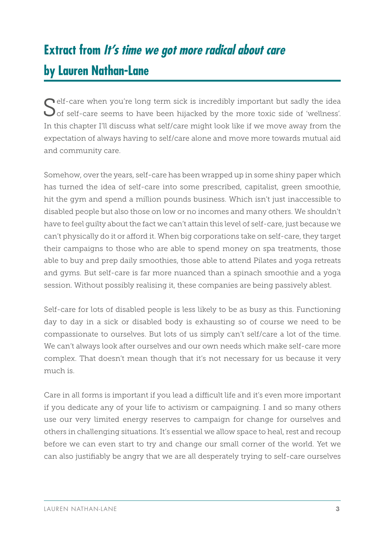## **Extract from It's time we got more radical about care by Lauren Nathan-Lane**

Self-care when you're long term sick is incredibly important but sadly the idea<br>Sof self-care seems to have been hijacked by the more toxic side of 'wellness'. In this chapter I'll discuss what self/care might look like if we move away from the expectation of always having to self/care alone and move more towards mutual aid and community care.

Somehow, over the years, self-care has been wrapped up in some shiny paper which has turned the idea of self-care into some prescribed, capitalist, green smoothie, hit the gym and spend a million pounds business. Which isn't just inaccessible to disabled people but also those on low or no incomes and many others. We shouldn't have to feel guilty about the fact we can't attain this level of self-care, just because we can't physically do it or afford it. When big corporations take on self-care, they target their campaigns to those who are able to spend money on spa treatments, those able to buy and prep daily smoothies, those able to attend Pilates and yoga retreats and gyms. But self-care is far more nuanced than a spinach smoothie and a yoga session. Without possibly realising it, these companies are being passively ablest.

Self-care for lots of disabled people is less likely to be as busy as this. Functioning day to day in a sick or disabled body is exhausting so of course we need to be compassionate to ourselves. But lots of us simply can't self/care a lot of the time. We can't always look after ourselves and our own needs which make self-care more complex. That doesn't mean though that it's not necessary for us because it very much is.

Care in all forms is important if you lead a difficult life and it's even more important if you dedicate any of your life to activism or campaigning. I and so many others use our very limited energy reserves to campaign for change for ourselves and others in challenging situations. It's essential we allow space to heal, rest and recoup before we can even start to try and change our small corner of the world. Yet we can also justifiably be angry that we are all desperately trying to self-care ourselves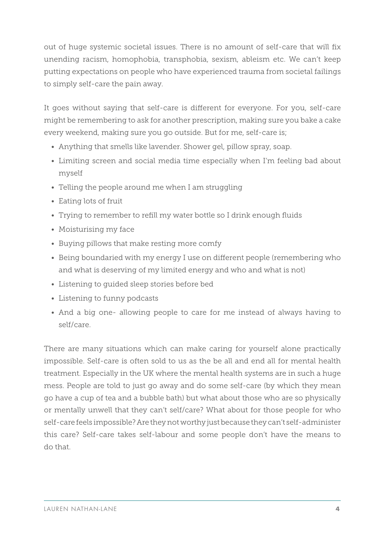out of huge systemic societal issues. There is no amount of self-care that will fix unending racism, homophobia, transphobia, sexism, ableism etc. We can't keep putting expectations on people who have experienced trauma from societal failings to simply self-care the pain away.

It goes without saying that self-care is different for everyone. For you, self-care might be remembering to ask for another prescription, making sure you bake a cake every weekend, making sure you go outside. But for me, self-care is;

- Anything that smells like lavender. Shower gel, pillow spray, soap.
- Limiting screen and social media time especially when I'm feeling bad about myself
- Telling the people around me when I am struggling
- Eating lots of fruit
- Trying to remember to refill my water bottle so I drink enough fluids
- Moisturising my face
- Buying pillows that make resting more comfy
- Being boundaried with my energy I use on different people (remembering who and what is deserving of my limited energy and who and what is not)
- Listening to guided sleep stories before bed
- Listening to funny podcasts
- And a big one- allowing people to care for me instead of always having to self/care.

There are many situations which can make caring for yourself alone practically impossible. Self-care is often sold to us as the be all and end all for mental health treatment. Especially in the UK where the mental health systems are in such a huge mess. People are told to just go away and do some self-care (by which they mean go have a cup of tea and a bubble bath) but what about those who are so physically or mentally unwell that they can't self/care? What about for those people for who self-care feels impossible? Are they not worthy just because they can't self-administer this care? Self-care takes self-labour and some people don't have the means to do that.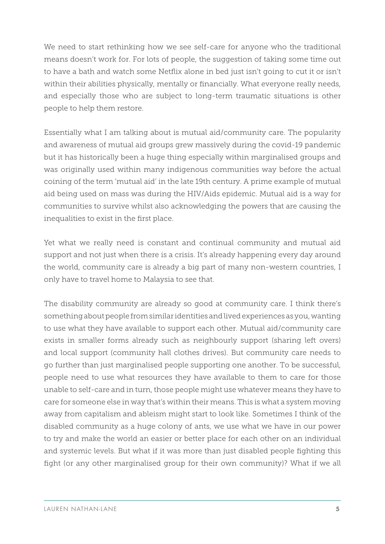We need to start rethinking how we see self-care for anyone who the traditional means doesn't work for. For lots of people, the suggestion of taking some time out to have a bath and watch some Netflix alone in bed just isn't going to cut it or isn't within their abilities physically, mentally or financially. What everyone really needs, and especially those who are subject to long-term traumatic situations is other people to help them restore.

Essentially what I am talking about is mutual aid/community care. The popularity and awareness of mutual aid groups grew massively during the covid-19 pandemic but it has historically been a huge thing especially within marginalised groups and was originally used within many indigenous communities way before the actual coining of the term 'mutual aid' in the late 19th century. A prime example of mutual aid being used on mass was during the HIV/Aids epidemic. Mutual aid is a way for communities to survive whilst also acknowledging the powers that are causing the inequalities to exist in the first place.

Yet what we really need is constant and continual community and mutual aid support and not just when there is a crisis. It's already happening every day around the world, community care is already a big part of many non-western countries, I only have to travel home to Malaysia to see that.

The disability community are already so good at community care. I think there's something about people from similar identities and lived experiences as you, wanting to use what they have available to support each other. Mutual aid/community care exists in smaller forms already such as neighbourly support (sharing left overs) and local support (community hall clothes drives). But community care needs to go further than just marginalised people supporting one another. To be successful, people need to use what resources they have available to them to care for those unable to self-care and in turn, those people might use whatever means they have to care for someone else in way that's within their means. This is what a system moving away from capitalism and ableism might start to look like. Sometimes I think of the disabled community as a huge colony of ants, we use what we have in our power to try and make the world an easier or better place for each other on an individual and systemic levels. But what if it was more than just disabled people fighting this fight (or any other marginalised group for their own community)? What if we all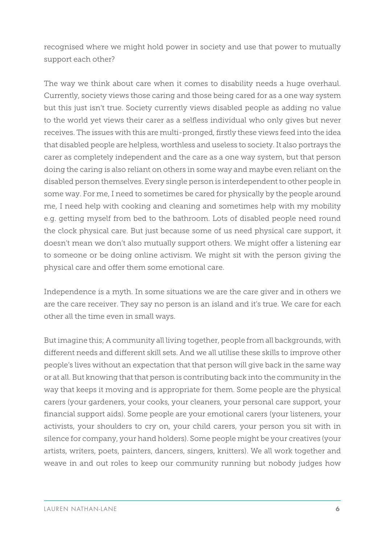recognised where we might hold power in society and use that power to mutually support each other?

The way we think about care when it comes to disability needs a huge overhaul. Currently, society views those caring and those being cared for as a one way system but this just isn't true. Society currently views disabled people as adding no value to the world yet views their carer as a selfless individual who only gives but never receives. The issues with this are multi-pronged, firstly these views feed into the idea that disabled people are helpless, worthless and useless to society. It also portrays the carer as completely independent and the care as a one way system, but that person doing the caring is also reliant on others in some way and maybe even reliant on the disabled person themselves. Every single person is interdependent to other people in some way. For me, I need to sometimes be cared for physically by the people around me, I need help with cooking and cleaning and sometimes help with my mobility e.g. getting myself from bed to the bathroom. Lots of disabled people need round the clock physical care. But just because some of us need physical care support, it doesn't mean we don't also mutually support others. We might offer a listening ear to someone or be doing online activism. We might sit with the person giving the physical care and offer them some emotional care.

Independence is a myth. In some situations we are the care giver and in others we are the care receiver. They say no person is an island and it's true. We care for each other all the time even in small ways.

But imagine this; A community all living together, people from all backgrounds, with different needs and different skill sets. And we all utilise these skills to improve other people's lives without an expectation that that person will give back in the same way or at all. But knowing that that person is contributing back into the community in the way that keeps it moving and is appropriate for them. Some people are the physical carers (your gardeners, your cooks, your cleaners, your personal care support, your financial support aids). Some people are your emotional carers (your listeners, your activists, your shoulders to cry on, your child carers, your person you sit with in silence for company, your hand holders). Some people might be your creatives (your artists, writers, poets, painters, dancers, singers, knitters). We all work together and weave in and out roles to keep our community running but nobody judges how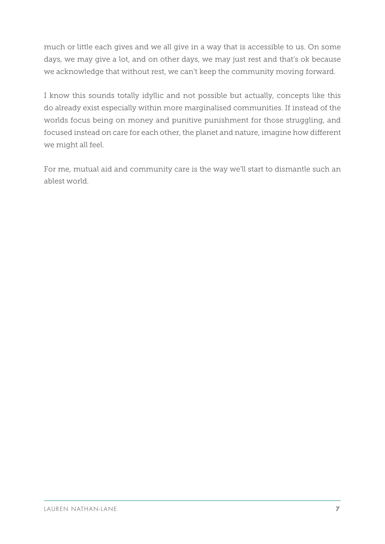much or little each gives and we all give in a way that is accessible to us. On some days, we may give a lot, and on other days, we may just rest and that's ok because we acknowledge that without rest, we can't keep the community moving forward.

I know this sounds totally idyllic and not possible but actually, concepts like this do already exist especially within more marginalised communities. If instead of the worlds focus being on money and punitive punishment for those struggling, and focused instead on care for each other, the planet and nature, imagine how different we might all feel.

For me, mutual aid and community care is the way we'll start to dismantle such an ablest world.